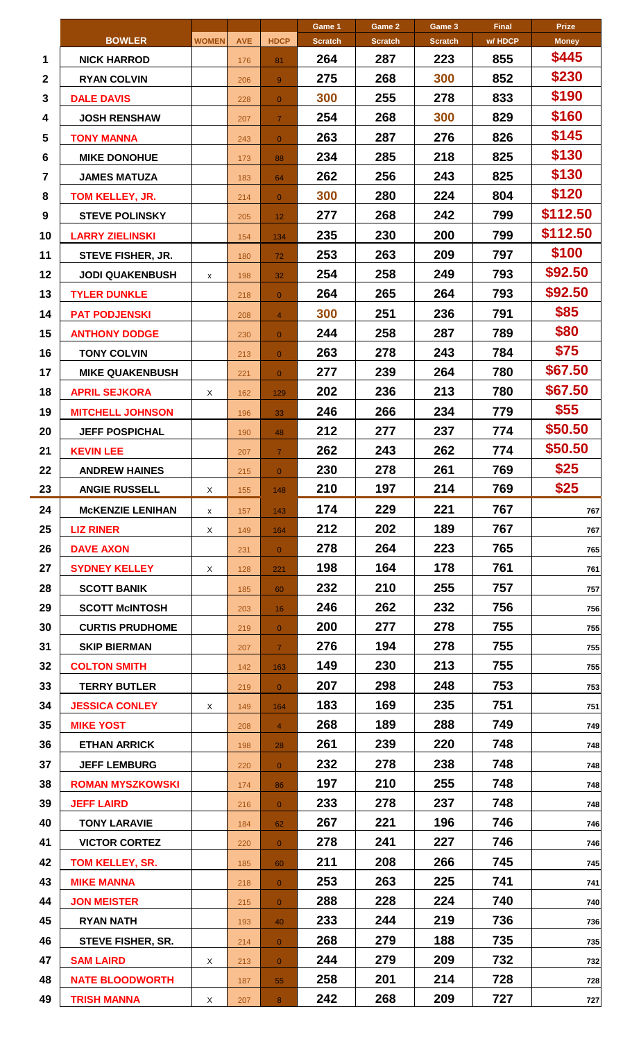|                  |                          |              |            |                 | Game 1         | Game 2         | Game 3         | <b>Final</b> | <b>Prize</b> |
|------------------|--------------------------|--------------|------------|-----------------|----------------|----------------|----------------|--------------|--------------|
|                  | <b>BOWLER</b>            | <b>WOMEN</b> | <b>AVE</b> | <b>HDCP</b>     | <b>Scratch</b> | <b>Scratch</b> | <b>Scratch</b> | w/HDCP       | <b>Money</b> |
| 1                | <b>NICK HARROD</b>       |              | 176        | 81              | 264            | 287            | 223            | 855          | \$445        |
| $\boldsymbol{2}$ | <b>RYAN COLVIN</b>       |              | 206        | 9 <sup>°</sup>  | 275            | 268            | 300            | 852          | \$230        |
| 3                | <b>DALE DAVIS</b>        |              | 228        | $\overline{0}$  | 300            | 255            | 278            | 833          | \$190        |
| 4                | <b>JOSH RENSHAW</b>      |              | 207        | 7 <sup>1</sup>  | 254            | 268            | 300            | 829          | \$160        |
| 5                | <b>TONY MANNA</b>        |              | 243        | $\overline{0}$  | 263            | 287            | 276            | 826          | \$145        |
| 6                | <b>MIKE DONOHUE</b>      |              | 173        | 88              | 234            | 285            | 218            | 825          | \$130        |
| 7                | <b>JAMES MATUZA</b>      |              | 183        | 64              | 262            | 256            | 243            | 825          | \$130        |
| 8                | TOM KELLEY, JR.          |              | 214        | $\overline{0}$  | 300            | 280            | 224            | 804          | \$120        |
| 9                | <b>STEVE POLINSKY</b>    |              | 205        | 12 <sub>2</sub> | 277            | 268            | 242            | 799          | \$112.50     |
| 10               | <b>LARRY ZIELINSKI</b>   |              | 154        | 134             | 235            | 230            | 200            | 799          | \$112.50     |
| 11               | <b>STEVE FISHER, JR.</b> |              | 180        | 72              | 253            | 263            | 209            | 797          | \$100        |
| 12               | <b>JODI QUAKENBUSH</b>   | x            | 198        | 32              | 254            | 258            | 249            | 793          | \$92.50      |
| 13               | <b>TYLER DUNKLE</b>      |              | 218        | $\overline{O}$  | 264            | 265            | 264            | 793          | \$92.50      |
| 14               | <b>PAT PODJENSKI</b>     |              | 208        | $\overline{4}$  | 300            | 251            | 236            | 791          | \$85         |
| 15               | <b>ANTHONY DODGE</b>     |              | 230        | $\overline{0}$  | 244            | 258            | 287            | 789          | \$80         |
| 16               | <b>TONY COLVIN</b>       |              | 213        | $\overline{0}$  | 263            | 278            | 243            | 784          | \$75         |
| 17               | <b>MIKE QUAKENBUSH</b>   |              | 221        | $\overline{0}$  | 277            | 239            | 264            | 780          | \$67.50      |
| 18               | <b>APRIL SEJKORA</b>     | X            | 162        | 129             | 202            | 236            | 213            | 780          | \$67.50      |
| 19               | <b>MITCHELL JOHNSON</b>  |              | 196        | 33              | 246            | 266            | 234            | 779          | \$55         |
| 20               | <b>JEFF POSPICHAL</b>    |              | 190        | 48              | 212            | 277            | 237            | 774          | \$50.50      |
| 21               | <b>KEVIN LEE</b>         |              | 207        | 7 <sup>1</sup>  | 262            | 243            | 262            | 774          | \$50.50      |
| 22               | <b>ANDREW HAINES</b>     |              | 215        | $\overline{0}$  | 230            | 278            | 261            | 769          | \$25         |
| 23               | <b>ANGIE RUSSELL</b>     | X            | 155        | 148             | 210            | 197            | 214            | 769          | \$25         |
| 24               | <b>MCKENZIE LENIHAN</b>  | x            | 157        | 143             | 174            | 229            | 221            | 767          | 767          |
| 25               | <b>LIZ RINER</b>         | X            | 149        | 164             | 212            | 202            | 189            | 767          | 767          |
| 26               | <b>DAVE AXON</b>         |              | 231        | $\overline{0}$  | 278            | 264            | 223            | 765          | 765          |
| 27               | <b>SYDNEY KELLEY</b>     | Χ            | 128        | 221             | 198            | 164            | 178            | 761          | 761          |
| 28               | <b>SCOTT BANIK</b>       |              | 185        | 60              | 232            | 210            | 255            | 757          | 757          |
| 29               | <b>SCOTT MCINTOSH</b>    |              | 203        | 16 <sup>1</sup> | 246            | 262            | 232            | 756          | 756          |
| 30               | <b>CURTIS PRUDHOME</b>   |              | 219        | $\overline{0}$  | 200            | 277            | 278            | 755          | 755          |
| 31               | <b>SKIP BIERMAN</b>      |              | 207        | 7 <sup>1</sup>  | 276            | 194            | 278            | 755          | 755          |
| 32               | <b>COLTON SMITH</b>      |              | 142        | 163             | 149            | 230            | 213            | 755          | 755          |
| 33               | <b>TERRY BUTLER</b>      |              | 219        | $\overline{0}$  | 207            | 298            | 248            | 753          | 753          |
| 34               | <b>JESSICA CONLEY</b>    | X            | 149        | 164             | 183            | 169            | 235            | 751          | 751          |
| 35               | <b>MIKE YOST</b>         |              | 208        | $\overline{4}$  | 268            | 189            | 288            | 749          | 749          |
| 36               | <b>ETHAN ARRICK</b>      |              | 198        | 28              | 261            | 239            | 220            | 748          | 748          |
| 37               | <b>JEFF LEMBURG</b>      |              | 220        | $\overline{0}$  | 232            | 278            | 238            | 748          | 748          |
| 38               | <b>ROMAN MYSZKOWSKI</b>  |              | 174        | 86              | 197            | 210            | 255            | 748          | 748          |
| 39               | <b>JEFF LAIRD</b>        |              | 216        | $\overline{0}$  | 233            | 278            | 237            | 748          | 748          |
| 40               | <b>TONY LARAVIE</b>      |              | 184        | 62              | 267            | 221            | 196            | 746          | 746          |
| 41               | <b>VICTOR CORTEZ</b>     |              | 220        | $\overline{0}$  | 278            | 241            | 227            | 746          | 746          |
| 42               | TOM KELLEY, SR.          |              | 185        | 60              | 211            | 208            | 266            | 745          | 745          |
| 43               | <b>MIKE MANNA</b>        |              | 218        | $\overline{0}$  | 253            | 263            | 225            | 741          | 741          |
| 44               | <b>JON MEISTER</b>       |              | 215        | $\overline{0}$  | 288            | 228            | 224            | 740          | 740          |
| 45               | <b>RYAN NATH</b>         |              | 193        | 40              | 233            | 244            | 219            | 736          | 736          |
| 46               | <b>STEVE FISHER, SR.</b> |              | 214        | $\overline{0}$  | 268            | 279            | 188            | 735          | 735          |
| 47               | <b>SAM LAIRD</b>         | X            | 213        | $\overline{0}$  | 244            | 279            | 209            | 732          | 732          |
| 48               | <b>NATE BLOODWORTH</b>   |              | 187        | 55              | 258            | 201            | 214            | 728          | 728          |
| 49               | <b>TRISH MANNA</b>       | X            | 207        | 8 <sub>1</sub>  | 242            | 268            | 209            | 727          | 727          |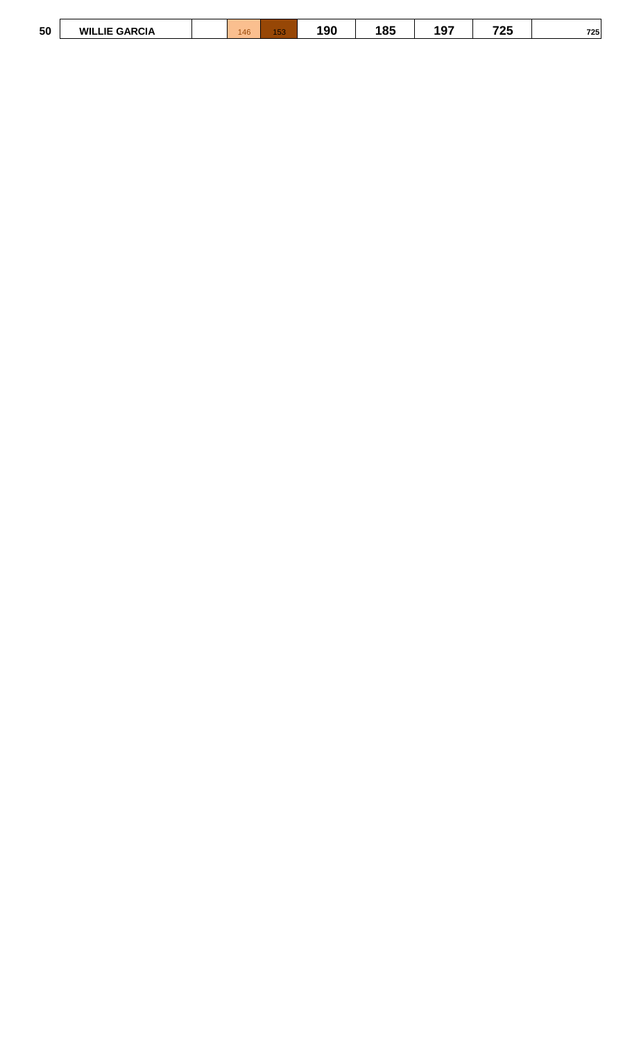| 50 | <b>GARCIA</b><br><b>WILLIE</b><br>. |  | 46 | $-$ | 9 <sub>0</sub> | 85 | .<br>۰э. | フクド<br>Lv | 725 |
|----|-------------------------------------|--|----|-----|----------------|----|----------|-----------|-----|
|----|-------------------------------------|--|----|-----|----------------|----|----------|-----------|-----|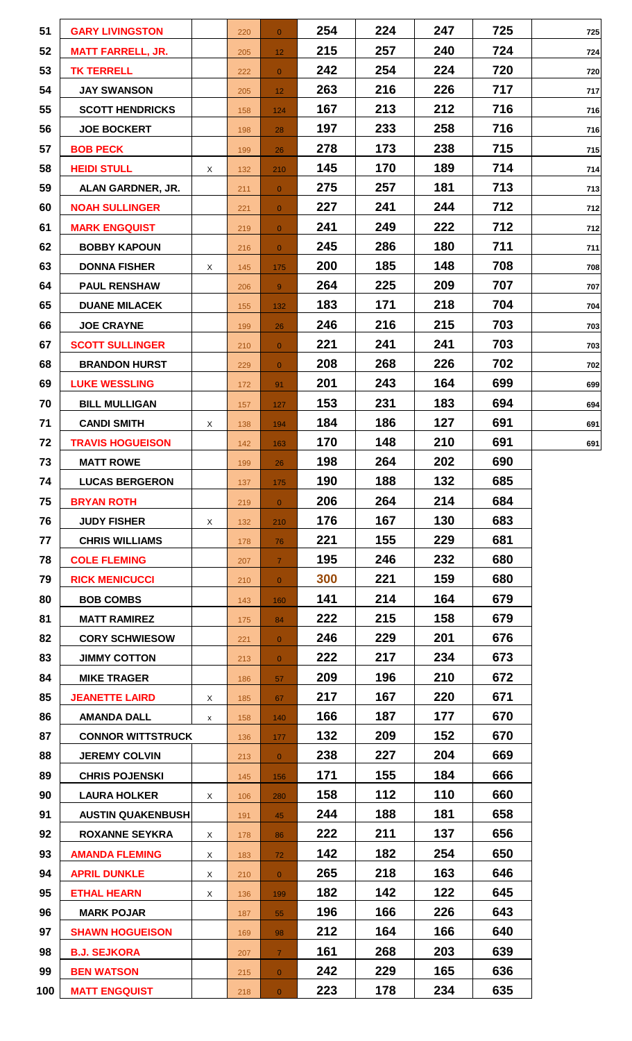| 51  | <b>GARY LIVINGSTON</b>   |   | 220 | $\overline{0}$ | 254 | 224 | 247 | 725 | 725 |
|-----|--------------------------|---|-----|----------------|-----|-----|-----|-----|-----|
| 52  | <b>MATT FARRELL, JR.</b> |   | 205 | 12             | 215 | 257 | 240 | 724 | 724 |
| 53  | <b>TK TERRELL</b>        |   | 222 | $\overline{0}$ | 242 | 254 | 224 | 720 | 720 |
| 54  | <b>JAY SWANSON</b>       |   | 205 | 12             | 263 | 216 | 226 | 717 | 717 |
| 55  | <b>SCOTT HENDRICKS</b>   |   | 158 | 124            | 167 | 213 | 212 | 716 | 716 |
| 56  | <b>JOE BOCKERT</b>       |   | 198 | 28             | 197 | 233 | 258 | 716 | 716 |
| 57  | <b>BOB PECK</b>          |   | 199 | 26             | 278 | 173 | 238 | 715 | 715 |
| 58  | <b>HEIDI STULL</b>       | X | 132 | 210            | 145 | 170 | 189 | 714 | 714 |
| 59  | ALAN GARDNER, JR.        |   | 211 | $\overline{0}$ | 275 | 257 | 181 | 713 | 713 |
| 60  | <b>NOAH SULLINGER</b>    |   | 221 | $\overline{0}$ | 227 | 241 | 244 | 712 | 712 |
| 61  | <b>MARK ENGQUIST</b>     |   | 219 | $\overline{0}$ | 241 | 249 | 222 | 712 | 712 |
| 62  | <b>BOBBY KAPOUN</b>      |   | 216 | $\overline{0}$ | 245 | 286 | 180 | 711 | 711 |
| 63  | <b>DONNA FISHER</b>      | X | 145 | 175            | 200 | 185 | 148 | 708 | 708 |
| 64  | <b>PAUL RENSHAW</b>      |   | 206 | 9 <sup>°</sup> | 264 | 225 | 209 | 707 | 707 |
| 65  | <b>DUANE MILACEK</b>     |   | 155 | 132            | 183 | 171 | 218 | 704 | 704 |
| 66  | <b>JOE CRAYNE</b>        |   | 199 | 26             | 246 | 216 | 215 | 703 | 703 |
| 67  | <b>SCOTT SULLINGER</b>   |   | 210 | $\overline{0}$ | 221 | 241 | 241 | 703 | 703 |
| 68  | <b>BRANDON HURST</b>     |   | 229 | $\overline{0}$ | 208 | 268 | 226 | 702 | 702 |
| 69  | <b>LUKE WESSLING</b>     |   | 172 | 91             | 201 | 243 | 164 | 699 | 699 |
| 70  | <b>BILL MULLIGAN</b>     |   | 157 | 127            | 153 | 231 | 183 | 694 | 694 |
| 71  | <b>CANDI SMITH</b>       | X | 138 | 194            | 184 | 186 | 127 | 691 | 691 |
| 72  | <b>TRAVIS HOGUEISON</b>  |   | 142 | 163            | 170 | 148 | 210 | 691 | 691 |
| 73  | <b>MATT ROWE</b>         |   | 199 | 26             | 198 | 264 | 202 | 690 |     |
| 74  | <b>LUCAS BERGERON</b>    |   | 137 | 175            | 190 | 188 | 132 | 685 |     |
| 75  | <b>BRYAN ROTH</b>        |   | 219 | $\overline{0}$ | 206 | 264 | 214 | 684 |     |
| 76  | <b>JUDY FISHER</b>       | X | 132 | 210            | 176 | 167 | 130 | 683 |     |
| 77  | <b>CHRIS WILLIAMS</b>    |   | 178 | 76             | 221 | 155 | 229 | 681 |     |
| 78  | <b>COLE FLEMING</b>      |   | 207 | 7 <sup>1</sup> | 195 | 246 | 232 | 680 |     |
| 79  | <b>RICK MENICUCCI</b>    |   | 210 | $\overline{0}$ | 300 | 221 | 159 | 680 |     |
| 80  | <b>BOB COMBS</b>         |   | 143 | 160            | 141 | 214 | 164 | 679 |     |
| 81  | <b>MATT RAMIREZ</b>      |   | 175 | 84             | 222 | 215 | 158 | 679 |     |
| 82  | <b>CORY SCHWIESOW</b>    |   | 221 | $\overline{0}$ | 246 | 229 | 201 | 676 |     |
| 83  | <b>JIMMY COTTON</b>      |   | 213 | $\overline{0}$ | 222 | 217 | 234 | 673 |     |
| 84  | <b>MIKE TRAGER</b>       |   | 186 | 57             | 209 | 196 | 210 | 672 |     |
| 85  | <b>JEANETTE LAIRD</b>    | X | 185 | 67             | 217 | 167 | 220 | 671 |     |
| 86  | <b>AMANDA DALL</b>       | x | 158 | 140            | 166 | 187 | 177 | 670 |     |
| 87  | <b>CONNOR WITTSTRUCK</b> |   | 136 | 177            | 132 | 209 | 152 | 670 |     |
| 88  | <b>JEREMY COLVIN</b>     |   | 213 | $\overline{0}$ | 238 | 227 | 204 | 669 |     |
| 89  | <b>CHRIS POJENSKI</b>    |   | 145 | 156            | 171 | 155 | 184 | 666 |     |
| 90  | <b>LAURA HOLKER</b>      | X | 106 | 280            | 158 | 112 | 110 | 660 |     |
| 91  | <b>AUSTIN QUAKENBUSH</b> |   | 191 | 45             | 244 | 188 | 181 | 658 |     |
| 92  | <b>ROXANNE SEYKRA</b>    | X | 178 | 86             | 222 | 211 | 137 | 656 |     |
| 93  | <b>AMANDA FLEMING</b>    | X | 183 | 72             | 142 | 182 | 254 | 650 |     |
| 94  | <b>APRIL DUNKLE</b>      | X | 210 | $\overline{0}$ | 265 | 218 | 163 | 646 |     |
| 95  | <b>ETHAL HEARN</b>       | X | 136 | 199            | 182 | 142 | 122 | 645 |     |
| 96  | <b>MARK POJAR</b>        |   | 187 | 55             | 196 | 166 | 226 | 643 |     |
| 97  | <b>SHAWN HOGUEISON</b>   |   | 169 | 98             | 212 | 164 | 166 | 640 |     |
| 98  | <b>B.J. SEJKORA</b>      |   | 207 |                | 161 | 268 | 203 | 639 |     |
| 99  | <b>BEN WATSON</b>        |   | 215 | $\overline{0}$ | 242 | 229 | 165 | 636 |     |
| 100 | <b>MATT ENGQUIST</b>     |   | 218 | $\overline{0}$ | 223 | 178 | 234 | 635 |     |
|     |                          |   |     |                |     |     |     |     |     |